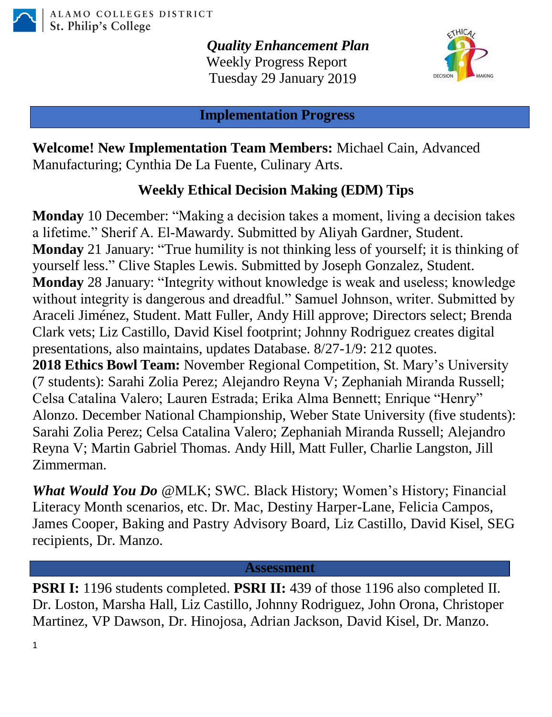

*Quality Enhancement Plan* Weekly Progress Report Tuesday 29 January 2019



**Implementation Progress**

**Welcome! New Implementation Team Members:** Michael Cain, Advanced Manufacturing; Cynthia De La Fuente, Culinary Arts.

## **Weekly Ethical Decision Making (EDM) Tips**

**Monday** 10 December: "Making a decision takes a moment, living a decision takes a lifetime." Sherif A. El-Mawardy. Submitted by Aliyah Gardner, Student. **Monday** 21 January: "True humility is not thinking less of yourself; it is thinking of yourself less." Clive Staples Lewis. Submitted by Joseph Gonzalez, Student. **Monday** 28 January: "Integrity without knowledge is weak and useless; knowledge without integrity is dangerous and dreadful." Samuel Johnson, writer. Submitted by Araceli Jiménez, Student. Matt Fuller, Andy Hill approve; Directors select; Brenda Clark vets; Liz Castillo, David Kisel footprint; Johnny Rodriguez creates digital presentations, also maintains, updates Database. 8/27-1/9: 212 quotes. **2018 Ethics Bowl Team:** November Regional Competition, St. Mary's University (7 students): Sarahi Zolia Perez; Alejandro Reyna V; Zephaniah Miranda Russell; Celsa Catalina Valero; Lauren Estrada; Erika Alma Bennett; Enrique "Henry" Alonzo. December National Championship, Weber State University (five students): Sarahi Zolia Perez; Celsa Catalina Valero; Zephaniah Miranda Russell; Alejandro Reyna V; Martin Gabriel Thomas. Andy Hill, Matt Fuller, Charlie Langston, Jill Zimmerman.

*What Would You Do* @MLK; SWC. Black History; Women's History; Financial Literacy Month scenarios, etc. Dr. Mac, Destiny Harper-Lane, Felicia Campos, James Cooper, Baking and Pastry Advisory Board, Liz Castillo, David Kisel, SEG recipients, Dr. Manzo.

## **Assessment**

**PSRI I:** 1196 students completed. **PSRI II:** 439 of those 1196 also completed II. Dr. Loston, Marsha Hall, Liz Castillo, Johnny Rodriguez, John Orona, Christoper Martinez, VP Dawson, Dr. Hinojosa, Adrian Jackson, David Kisel, Dr. Manzo.

1